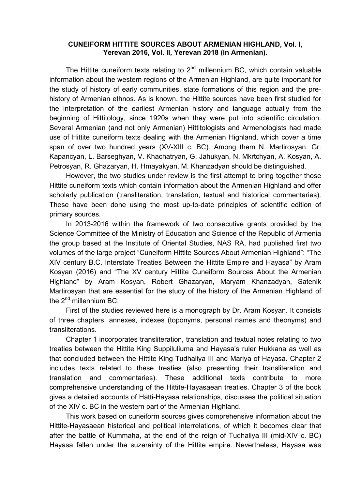## **CUNEIFORM HITTITE SOURCES ABOUT ARMENIAN HIGHLAND, Vol. I, Yerevan 2016, Vol. II, Yerevan 2018 (in Armenian).**

The Hittite cuneiform texts relating to  $2<sup>nd</sup>$  millennium BC, which contain valuable information about the western regions of the Armenian Highland, are quite important for the study of history of early communities, state formations of this region and the prehistory of Armenian ethnos. As is known, the Hittite sources have been first studied for the interpretation of the earliest Armenian history and language actually from the beginning of Hittitology, since 1920s when they were put into scientific circulation. Several Armenian (and not only Armenian) Hittitologists and Armenologists had made use of Hittite cuneiform texts dealing with the Armenian Highland, which cover a time span of over two hundred years (XV-XIII c. BC). Among them N. Martirosyan, Gr. Kapancyan, L. Barseghyan, V. Khachatryan, G. Jahukyan, N. Mkrtchyan, A. Kosyan, A. Petrosyan, R. Ghazaryan, H. Hmayakyan, M. Khanzadyan should be distinguished.

However, the two studies under review is the first attempt to bring together those Hittite cuneiform texts which contain information about the Armenian Highland and offer scholarly publication (transliteration, translation, textual and historical commentaries). These have been done using the most up-to-date principles of scientific edition of primary sources.

In 2013-2016 within the framework of two consecutive grants provided by the Science Committee of the Ministry of Education and Science of the Republic of Armenia the group based at the Institute of Oriental Studies, NAS RA, had published first two volumes of the large project "Cuneiform Hittite Sources About Armenian Highland": "The XIV century B.C. Interstate Treaties Between the Hittite Empire and Hayasa" by Aram Kosyan (2016) and "The XV century Hittite Cuneiform Sources About the Armenian Highland" by Aram Kosyan, Robert Ghazaryan, Maryam Khanzadyan, Satenik Martirosyan that are essential for the study of the history of the Armenian Highland of the  $2^{nd}$  millennium BC.

First of the studies reviewed here is a monograph by Dr. Aram Kosyan. It consists of three chapters, annexes, indexes (toponyms, personal names and theonyms) and transliterations.

Chapter 1 incorporates transliteration, translation and textual notes relating to two treaties between the Hittite King Suppiluliuma and Hayasa's ruler Hukkana as well as that concluded between the Hittite King Tudhaliya III and Mariya of Hayasa. Chapter 2 includes texts related to these treaties (also presenting their transliteration and translation and commentaries). These additional texts contribute to more comprehensive understanding of the Hittite-Hayasaean treaties. Chapter 3 of the book gives a detailed accounts of Hatti-Hayasa relationships, discusses the political situation of the XIV c. BC in the western part of the Armenian Highland.

This work based on cuneiform sources gives comprehensive information about the Hittite-Hayasaean historical and political interrelations, of which it becomes clear that after the battle of Kummaha, at the end of the reign of Tudhaliya III (mid-XIV c. BC) Hayasa fallen under the suzerainty of the Hittite empire. Nevertheless, Hayasa was